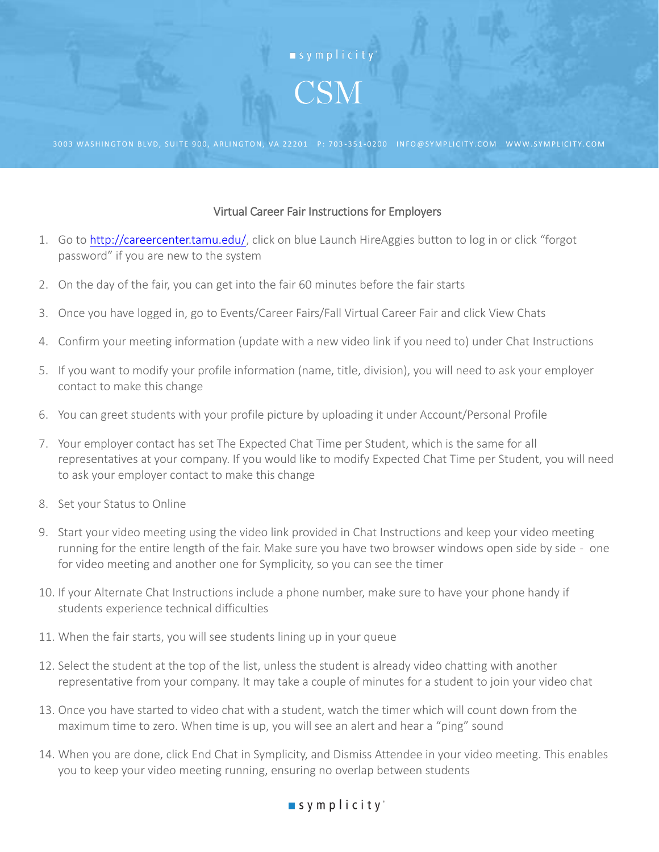

3003 WASHINGTON BLVD, SUITE 900, ARLINGTON, VA 22201 P: 703-351-0200 INFO@SYMPLICITY.COM WWW.SYMPLICITY.COM

## Virtual Career Fair Instructions for Employers

- 1. Go to [http://careercenter.tamu.edu/,](http://careercenter.tamu.edu/) click on blue Launch HireAggies button to log in or click "forgot password" if you are new to the system
- 2. On the day of the fair, you can get into the fair 60 minutes before the fair starts
- 3. Once you have logged in, go to Events/Career Fairs/Fall Virtual Career Fair and click View Chats
- 4. Confirm your meeting information (update with a new video link if you need to) under Chat Instructions
- 5. If you want to modify your profile information (name, title, division), you will need to ask your employer contact to make this change
- 6. You can greet students with your profile picture by uploading it under Account/Personal Profile
- 7. Your employer contact has set The Expected Chat Time per Student, which is the same for all representatives at your company. If you would like to modify Expected Chat Time per Student, you will need to ask your employer contact to make this change
- 8. Set your Status to Online
- 9. Start your video meeting using the video link provided in Chat Instructions and keep your video meeting running for the entire length of the fair. Make sure you have two browser windows open side by side - one for video meeting and another one for Symplicity, so you can see the timer
- 10. If your Alternate Chat Instructions include a phone number, make sure to have your phone handy if students experience technical difficulties
- 11. When the fair starts, you will see students lining up in your queue
- 12. Select the student at the top of the list, unless the student is already video chatting with another representative from your company. It may take a couple of minutes for a student to join your video chat
- 13. Once you have started to video chat with a student, watch the timer which will count down from the maximum time to zero. When time is up, you will see an alert and hear a "ping" sound
- 14. When you are done, click End Chat in Symplicity, and Dismiss Attendee in your video meeting. This enables you to keep your video meeting running, ensuring no overlap between students